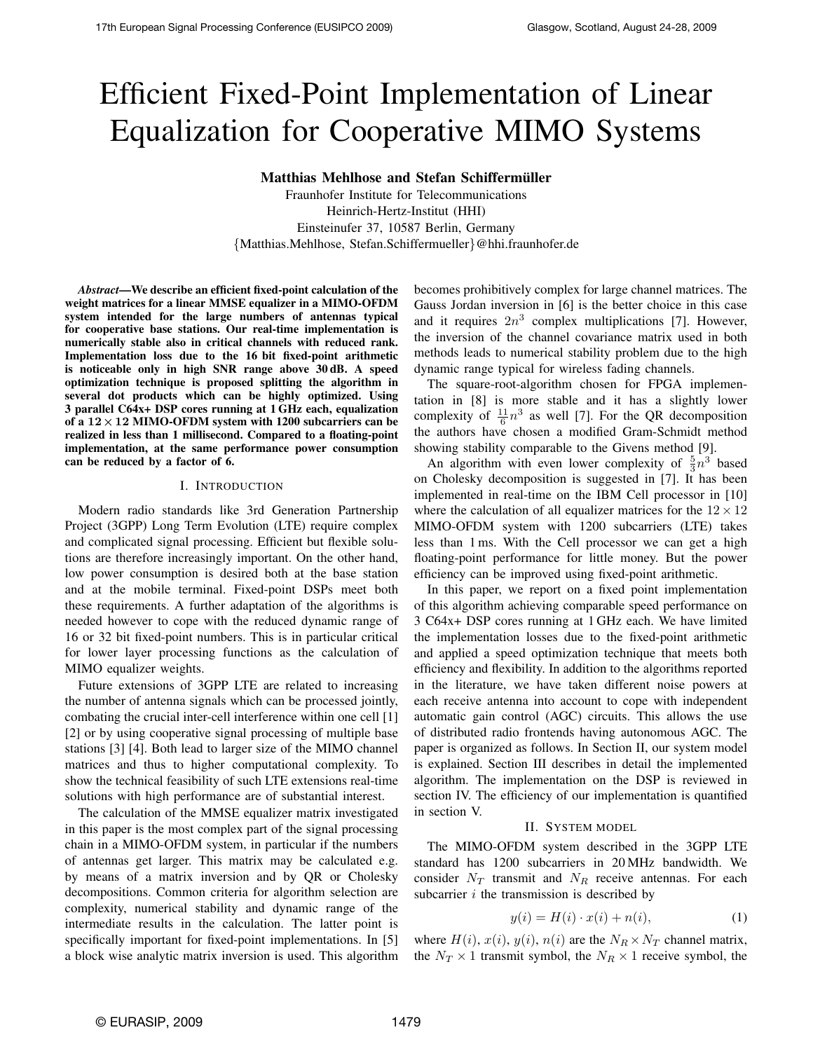# Efficient Fixed-Point Implementation of Linear Equalization for Cooperative MIMO Systems

Matthias Mehlhose and Stefan Schiffermüller

Fraunhofer Institute for Telecommunications Heinrich-Hertz-Institut (HHI) Einsteinufer 37, 10587 Berlin, Germany {Matthias.Mehlhose, Stefan.Schiffermueller}@hhi.fraunhofer.de

*Abstract*—We describe an efficient fixed-point calculation of the weight matrices for a linear MMSE equalizer in a MIMO-OFDM system intended for the large numbers of antennas typical for cooperative base stations. Our real-time implementation is numerically stable also in critical channels with reduced rank. Implementation loss due to the 16 bit fixed-point arithmetic is noticeable only in high SNR range above 30 dB. A speed optimization technique is proposed splitting the algorithm in several dot products which can be highly optimized. Using 3 parallel C64x+ DSP cores running at 1 GHz each, equalization of a  $12 \times 12$  MIMO-OFDM system with 1200 subcarriers can be realized in less than 1 millisecond. Compared to a floating-point implementation, at the same performance power consumption can be reduced by a factor of 6.

### I. INTRODUCTION

Modern radio standards like 3rd Generation Partnership Project (3GPP) Long Term Evolution (LTE) require complex and complicated signal processing. Efficient but flexible solutions are therefore increasingly important. On the other hand, low power consumption is desired both at the base station and at the mobile terminal. Fixed-point DSPs meet both these requirements. A further adaptation of the algorithms is needed however to cope with the reduced dynamic range of 16 or 32 bit fixed-point numbers. This is in particular critical for lower layer processing functions as the calculation of MIMO equalizer weights.

Future extensions of 3GPP LTE are related to increasing the number of antenna signals which can be processed jointly, combating the crucial inter-cell interference within one cell [1] [2] or by using cooperative signal processing of multiple base stations [3] [4]. Both lead to larger size of the MIMO channel matrices and thus to higher computational complexity. To show the technical feasibility of such LTE extensions real-time solutions with high performance are of substantial interest.

The calculation of the MMSE equalizer matrix investigated in this paper is the most complex part of the signal processing chain in a MIMO-OFDM system, in particular if the numbers of antennas get larger. This matrix may be calculated e.g. by means of a matrix inversion and by QR or Cholesky decompositions. Common criteria for algorithm selection are complexity, numerical stability and dynamic range of the intermediate results in the calculation. The latter point is specifically important for fixed-point implementations. In [5] a block wise analytic matrix inversion is used. This algorithm becomes prohibitively complex for large channel matrices. The Gauss Jordan inversion in [6] is the better choice in this case and it requires  $2n^3$  complex multiplications [7]. However, the inversion of the channel covariance matrix used in both methods leads to numerical stability problem due to the high dynamic range typical for wireless fading channels.

The square-root-algorithm chosen for FPGA implementation in [8] is more stable and it has a slightly lower complexity of  $\frac{11}{6}n^3$  as well [7]. For the QR decomposition the authors have chosen a modified Gram-Schmidt method showing stability comparable to the Givens method [9].

An algorithm with even lower complexity of  $\frac{5}{3}n^3$  based on Cholesky decomposition is suggested in [7]. It has been implemented in real-time on the IBM Cell processor in [10] where the calculation of all equalizer matrices for the  $12 \times 12$ MIMO-OFDM system with 1200 subcarriers (LTE) takes less than 1 ms. With the Cell processor we can get a high floating-point performance for little money. But the power efficiency can be improved using fixed-point arithmetic.

In this paper, we report on a fixed point implementation of this algorithm achieving comparable speed performance on 3 C64x+ DSP cores running at 1 GHz each. We have limited the implementation losses due to the fixed-point arithmetic and applied a speed optimization technique that meets both efficiency and flexibility. In addition to the algorithms reported in the literature, we have taken different noise powers at each receive antenna into account to cope with independent automatic gain control (AGC) circuits. This allows the use of distributed radio frontends having autonomous AGC. The paper is organized as follows. In Section II, our system model is explained. Section III describes in detail the implemented algorithm. The implementation on the DSP is reviewed in section IV. The efficiency of our implementation is quantified in section V.

#### II. SYSTEM MODEL

The MIMO-OFDM system described in the 3GPP LTE standard has 1200 subcarriers in 20 MHz bandwidth. We consider  $N_T$  transmit and  $N_R$  receive antennas. For each subcarrier  $i$  the transmission is described by

<span id="page-0-0"></span>
$$
y(i) = H(i) \cdot x(i) + n(i), \tag{1}
$$

where  $H(i)$ ,  $x(i)$ ,  $y(i)$ ,  $n(i)$  are the  $N_R \times N_T$  channel matrix, the  $N_T \times 1$  transmit symbol, the  $N_R \times 1$  receive symbol, the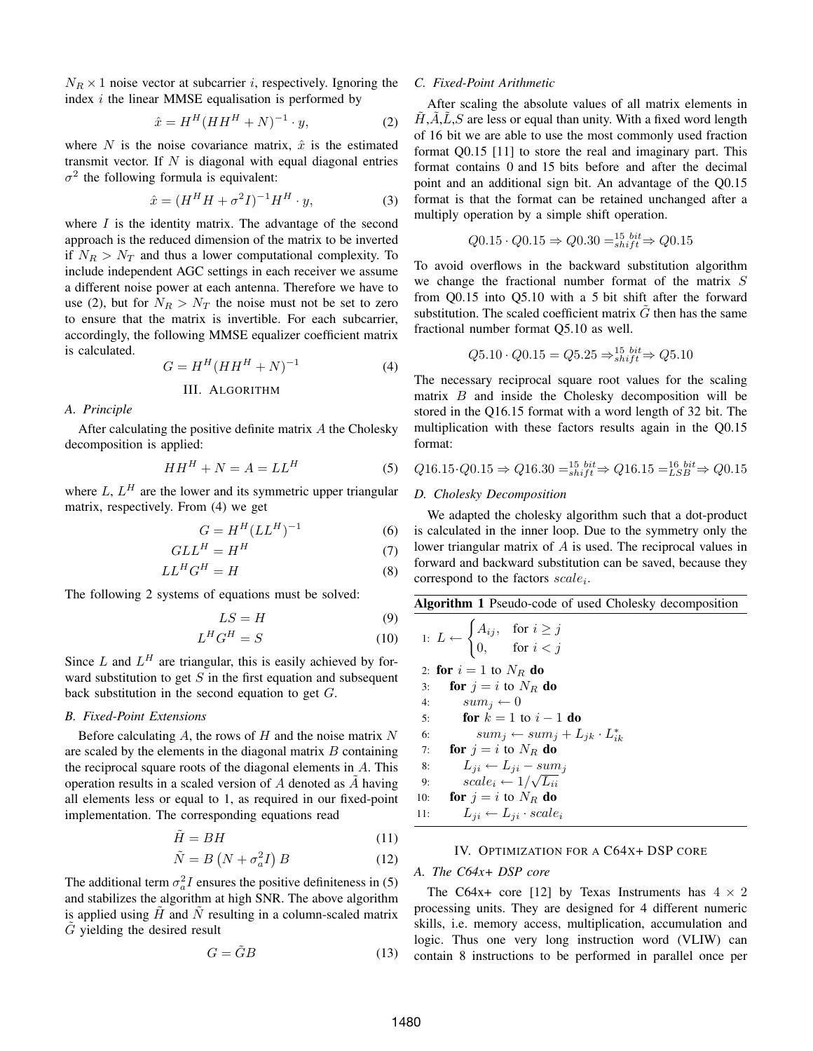$N_R \times 1$  noise vector at subcarrier *i*, respectively. Ignoring the index  $i$  the linear MMSE equalisation is performed by

<span id="page-1-0"></span>
$$
\hat{x} = H^H (HH^H + N)^{-1} \cdot y,\tag{2}
$$

where N is the noise covariance matrix,  $\hat{x}$  is the estimated transmit vector. If  $N$  is diagonal with equal diagonal entries  $\sigma^2$  the following formula is equivalent:

$$
\hat{x} = (H^H H + \sigma^2 I)^{-1} H^H \cdot y,\tag{3}
$$

where  $I$  is the identity matrix. The advantage of the second approach is the reduced dimension of the matrix to be inverted if  $N_R > N_T$  and thus a lower computational complexity. To include independent AGC settings in each receiver we assume a different noise power at each antenna. Therefore we have to use [\(2\)](#page-1-0), but for  $N_R > N_T$  the noise must not be set to zero to ensure that the matrix is invertible. For each subcarrier, accordingly, the following MMSE equalizer coefficient matrix is calculated.

<span id="page-1-1"></span>
$$
G = H^H (HH^H + N)^{-1}
$$
 (4)

III. ALGORITHM

## *A. Principle*

After calculating the positive definite matrix A the Cholesky decomposition is applied:

<span id="page-1-2"></span>
$$
HH^H + N = A = LL^H \tag{5}
$$

where  $L, L<sup>H</sup>$  are the lower and its symmetric upper triangular matrix, respectively. From [\(4\)](#page-1-1) we get

$$
G = H^H (LL^H)^{-1} \tag{6}
$$

$$
GLL^H = H^H \tag{7}
$$

$$
LL^H G^H = H \tag{8}
$$

The following 2 systems of equations must be solved:

$$
LS = H \tag{9}
$$

$$
L^H G^H = S \tag{10}
$$

Since  $L$  and  $L^H$  are triangular, this is easily achieved by forward substitution to get  $S$  in the first equation and subsequent back substitution in the second equation to get  $G$ .

## *B. Fixed-Point Extensions*

Before calculating  $A$ , the rows of  $H$  and the noise matrix  $N$ are scaled by the elements in the diagonal matrix  $B$  containing the reciprocal square roots of the diagonal elements in  $A$ . This operation results in a scaled version of  $A$  denoted as  $A$  having all elements less or equal to 1, as required in our fixed-point implementation. The corresponding equations read

$$
\tilde{H} = BH \tag{11}
$$

$$
\tilde{N} = B\left(N + \sigma_a^2 I\right) B\tag{12}
$$

The additional term  $\sigma_a^2 I$  ensures the positive definiteness in [\(5\)](#page-1-2) and stabilizes the algorithm at high SNR. The above algorithm is applied using  $H$  and  $N$  resulting in a column-scaled matrix  $G$  yielding the desired result

$$
G = \tilde{G}B\tag{13}
$$

## *C. Fixed-Point Arithmetic*

After scaling the absolute values of all matrix elements in  $H, A, L, S$  are less or equal than unity. With a fixed word length of 16 bit we are able to use the most commonly used fraction format Q0.15 [11] to store the real and imaginary part. This format contains 0 and 15 bits before and after the decimal point and an additional sign bit. An advantage of the Q0.15 format is that the format can be retained unchanged after a multiply operation by a simple shift operation.

$$
Q0.15 \cdot Q0.15 \Rightarrow Q0.30 =_{shift}^{15} \rightarrow Q0.15
$$

To avoid overflows in the backward substitution algorithm we change the fractional number format of the matrix  $S$ from Q0.15 into Q5.10 with a 5 bit shift after the forward substitution. The scaled coefficient matrix  $\tilde{G}$  then has the same fractional number format Q5.10 as well.

$$
Q5.10 \cdot Q0.15 = Q5.25 \Rightarrow_{shift}^{15} \neq Q5.10
$$

The necessary reciprocal square root values for the scaling matrix  $B$  and inside the Cholesky decomposition will be stored in the Q16.15 format with a word length of 32 bit. The multiplication with these factors results again in the Q0.15 format:

$$
Q16.15 \cdot Q0.15 \Rightarrow Q16.30 =_{shift}^{15} \rightarrow k16.15 =_{LSB}^{16} \rightarrow Q0.15
$$

# *D. Cholesky Decomposition*

We adapted the cholesky algorithm such that a dot-product is calculated in the inner loop. Due to the symmetry only the lower triangular matrix of A is used. The reciprocal values in forward and backward substitution can be saved, because they correspond to the factors  $scale_i$ .

<span id="page-1-3"></span>

|  | Algorithm 1 Pseudo-code of used Cholesky decomposition |  |  |
|--|--------------------------------------------------------|--|--|
|  |                                                        |  |  |

|     | 1: $L \leftarrow \begin{cases} A_{ij}, & \text{for } i \geq j \\ 0, & \text{for } i < j \end{cases}$ |
|-----|------------------------------------------------------------------------------------------------------|
|     | 2: for $i=1$ to $N_R$ do                                                                             |
| 3:  | <b>for</b> $i = i$ to $N_R$ <b>do</b>                                                                |
|     | $sum_i \leftarrow 0$<br>4:                                                                           |
| 5:  | for $k=1$ to $i-1$ do                                                                                |
| 6:  | $sum_j \leftarrow sum_j + L_{jk} \cdot L_{ik}^*$                                                     |
| 7:  | for $j = i$ to $N_R$ do                                                                              |
| 8:  | $L_{ii} \leftarrow L_{ii} - sum_i$                                                                   |
| 9:  | $scale_i \leftarrow 1/\sqrt{L_{ii}}$                                                                 |
| 10: | for $j = i$ to $N_R$ do                                                                              |
| 11: | $L_{ii} \leftarrow L_{ii} \cdot scale_i$                                                             |

#### IV. OPTIMIZATION FOR A C64X+ DSP CORE

# <span id="page-1-4"></span>*A. The C64x+ DSP core*

The C64x+ core [12] by Texas Instruments has  $4 \times 2$ processing units. They are designed for 4 different numeric skills, i.e. memory access, multiplication, accumulation and logic. Thus one very long instruction word (VLIW) can contain 8 instructions to be performed in parallel once per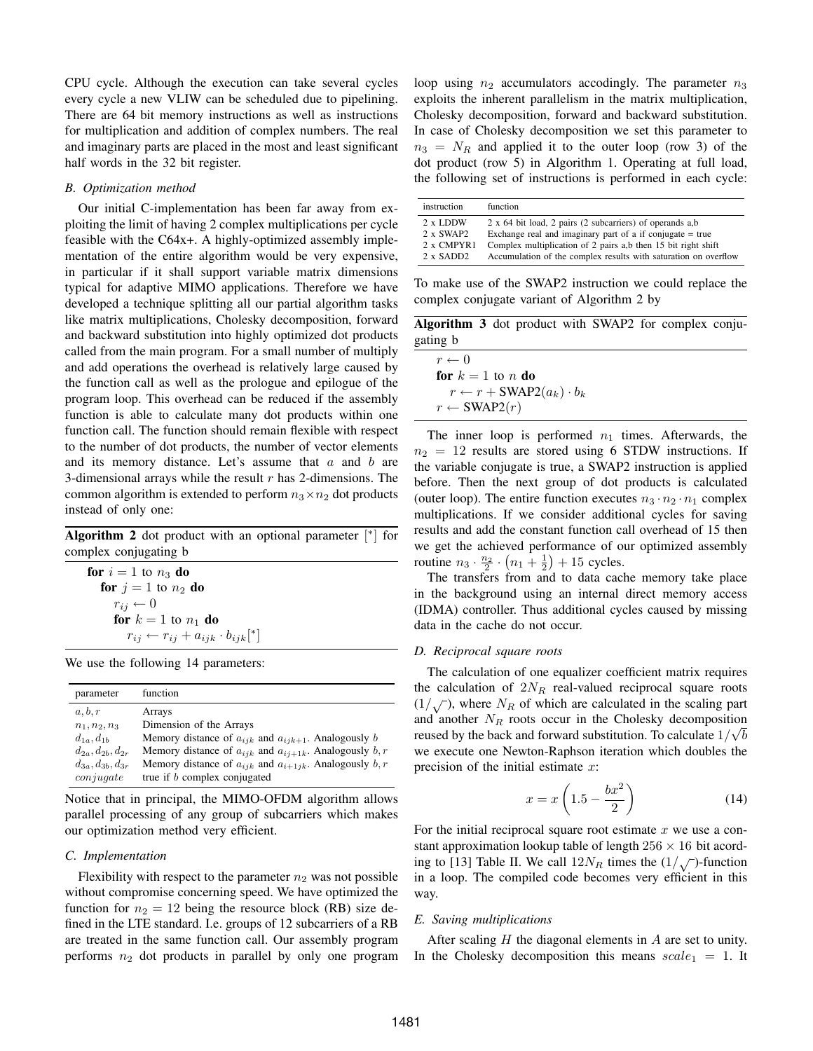CPU cycle. Although the execution can take several cycles every cycle a new VLIW can be scheduled due to pipelining. There are 64 bit memory instructions as well as instructions for multiplication and addition of complex numbers. The real and imaginary parts are placed in the most and least significant half words in the 32 bit register.

# *B. Optimization method*

Our initial C-implementation has been far away from exploiting the limit of having 2 complex multiplications per cycle feasible with the C64x+. A highly-optimized assembly implementation of the entire algorithm would be very expensive, in particular if it shall support variable matrix dimensions typical for adaptive MIMO applications. Therefore we have developed a technique splitting all our partial algorithm tasks like matrix multiplications, Cholesky decomposition, forward and backward substitution into highly optimized dot products called from the main program. For a small number of multiply and add operations the overhead is relatively large caused by the function call as well as the prologue and epilogue of the program loop. This overhead can be reduced if the assembly function is able to calculate many dot products within one function call. The function should remain flexible with respect to the number of dot products, the number of vector elements and its memory distance. Let's assume that  $a$  and  $b$  are 3-dimensional arrays while the result  $r$  has 2-dimensions. The common algorithm is extended to perform  $n_3 \times n_2$  dot products instead of only one:

<span id="page-2-0"></span>

|                       | <b>Algorithm 2</b> dot product with an optional parameter $\lceil$ <sup>*</sup> for |  |  |  |
|-----------------------|-------------------------------------------------------------------------------------|--|--|--|
| complex conjugating b |                                                                                     |  |  |  |

for  $i = 1$  to  $n_3$  do for  $j = 1$  to  $n_2$  do  $r_{ij} \leftarrow 0$ for  $k = 1$  to  $n_1$  do  $r_{ij} \leftarrow r_{ij} + a_{ijk} \cdot b_{ijk}$ <sup>\*</sup>]

We use the following 14 parameters:

| parameter                | function                                                         |
|--------------------------|------------------------------------------------------------------|
| a, b, r                  | Arrays                                                           |
| $n_1, n_2, n_3$          | Dimension of the Arrays                                          |
| $d_{1a}$ , $d_{1b}$      | Memory distance of $a_{ijk}$ and $a_{ijk+1}$ . Analogously b     |
| $d_{2a}, d_{2b}, d_{2r}$ | Memory distance of $a_{ijk}$ and $a_{i,i+1k}$ . Analogously b, r |
| $d_{3a}, d_{3b}, d_{3r}$ | Memory distance of $a_{ijk}$ and $a_{i+1jk}$ . Analogously b, r  |
| conjugate                | true if <i>b</i> complex conjugated                              |

Notice that in principal, the MIMO-OFDM algorithm allows parallel processing of any group of subcarriers which makes our optimization method very efficient.

# *C. Implementation*

Flexibility with respect to the parameter  $n_2$  was not possible without compromise concerning speed. We have optimized the function for  $n_2 = 12$  being the resource block (RB) size defined in the LTE standard. I.e. groups of 12 subcarriers of a RB are treated in the same function call. Our assembly program performs  $n_2$  dot products in parallel by only one program loop using  $n_2$  accumulators accodingly. The parameter  $n_3$ exploits the inherent parallelism in the matrix multiplication, Cholesky decomposition, forward and backward substitution. In case of Cholesky decomposition we set this parameter to  $n_3 = N_R$  and applied it to the outer loop (row 3) of the dot product (row 5) in Algorithm [1.](#page-1-3) Operating at full load, the following set of instructions is performed in each cycle:

| instruction         | function                                                        |
|---------------------|-----------------------------------------------------------------|
| $2 \times$ LDDW     | 2 x 64 bit load, 2 pairs (2 subcarriers) of operands a,b        |
| 2 x SWAP2           | Exchange real and imaginary part of a if conjugate $=$ true     |
| 2 x CMPYR1          | Complex multiplication of 2 pairs a,b then 15 bit right shift   |
| $2 \times$ SADD $2$ | Accumulation of the complex results with saturation on overflow |

To make use of the SWAP2 instruction we could replace the complex conjugate variant of Algorithm [2](#page-2-0) by

Algorithm 3 dot product with SWAP2 for complex conjugating b

| $r \leftarrow 0$                               |
|------------------------------------------------|
| for $k=1$ to n do                              |
| $r \leftarrow r + \text{SWAP2}(a_k) \cdot b_k$ |
| $r \leftarrow \text{SWAP2}(r)$                 |

The inner loop is performed  $n_1$  times. Afterwards, the  $n_2 = 12$  results are stored using 6 STDW instructions. If the variable conjugate is true, a SWAP2 instruction is applied before. Then the next group of dot products is calculated (outer loop). The entire function executes  $n_3 \cdot n_2 \cdot n_1$  complex multiplications. If we consider additional cycles for saving results and add the constant function call overhead of 15 then we get the achieved performance of our optimized assembly routine  $n_3 \cdot \frac{n_2}{2} \cdot (n_1 + \frac{1}{2}) + 15$  cycles.

The transfers from and to data cache memory take place in the background using an internal direct memory access (IDMA) controller. Thus additional cycles caused by missing data in the cache do not occur.

#### *D. Reciprocal square roots*

The calculation of one equalizer coefficient matrix requires the calculation of  $2N_R$  real-valued reciprocal square roots  $(1/\sqrt{})$ , where  $N_R$  of which are calculated in the scaling part and another  $N_R$  roots occur in the Cholesky decomposition reused by the back and forward substitution. To calculate  $1/\sqrt{b}$ we execute one Newton-Raphson iteration which doubles the precision of the initial estimate  $x$ :

$$
x = x \left( 1.5 - \frac{bx^2}{2} \right) \tag{14}
$$

For the initial reciprocal square root estimate  $x$  we use a constant approximation lookup table of length  $256 \times 16$  bit acording to [13] Table II. We call  $12N_R$  times the  $(1/\sqrt{})$ -function in a loop. The compiled code becomes very efficient in this way.

# *E. Saving multiplications*

After scaling  $H$  the diagonal elements in  $A$  are set to unity. In the Cholesky decomposition this means  $scale_1 = 1$ . It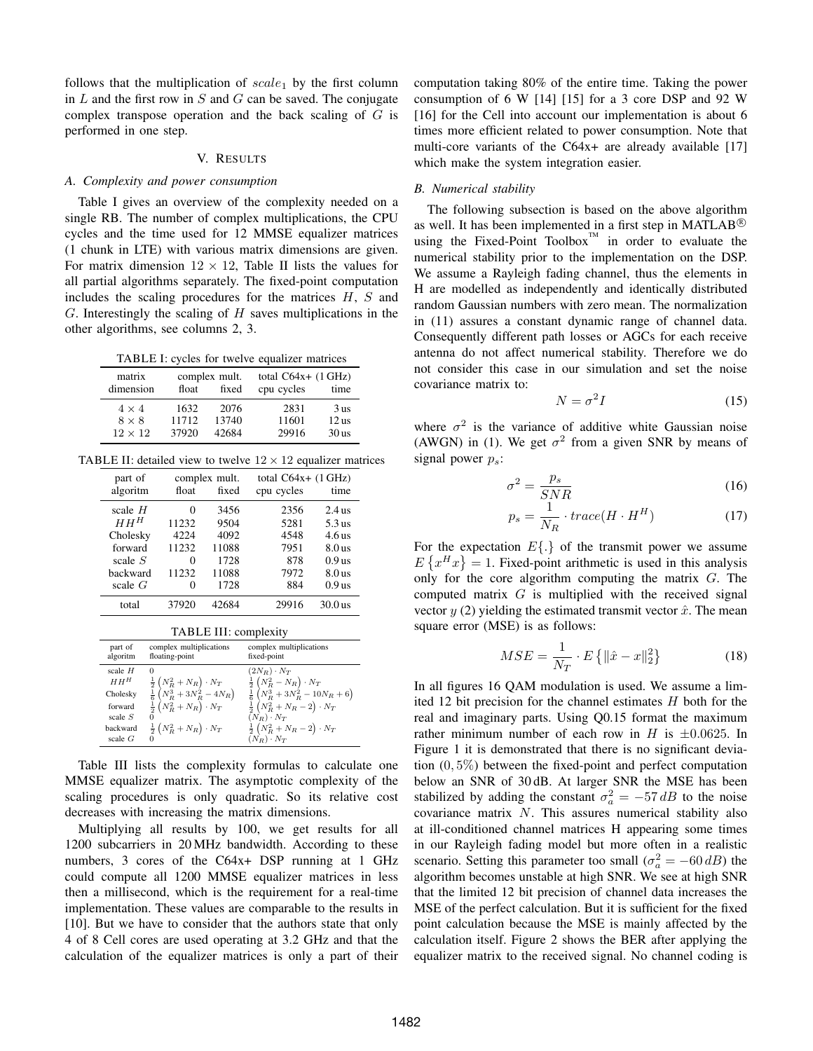follows that the multiplication of  $scale_1$  by the first column in  $L$  and the first row in  $S$  and  $G$  can be saved. The conjugate complex transpose operation and the back scaling of  $G$  is performed in one step.

## V. RESULTS

#### *A. Complexity and power consumption*

[Table I](#page-3-0) gives an overview of the complexity needed on a single RB. The number of complex multiplications, the CPU cycles and the time used for 12 MMSE equalizer matrices (1 chunk in LTE) with various matrix dimensions are given. For matrix dimension  $12 \times 12$ , [Table II](#page-3-0) lists the values for all partial algorithms separately. The fixed-point computation includes the scaling procedures for the matrices  $H, S$  and  $G$ . Interestingly the scaling of  $H$  saves multiplications in the other algorithms, see columns 2, 3.

TABLE I: cycles for twelve equalizer matrices

<span id="page-3-0"></span>

| matrix<br>dimension            | float          | complex mult.<br>fixed | total $C64x+ (1 GHz)$<br>cpu cycles | time                        |
|--------------------------------|----------------|------------------------|-------------------------------------|-----------------------------|
| $4 \times 4$                   | 1632           | 2076                   | 2831                                | 3 <sub>us</sub>             |
| $8 \times 8$<br>$12 \times 12$ | 11712<br>37920 | 13740<br>42684         | 11601<br>29916                      | 12 <sub>us</sub><br>$30$ us |

TABLE II: detailed view to twelve  $12 \times 12$  equalizer matrices

| part of   | float  | complex mult.<br>fixed | total $C64x+ (1 GHz)$ | time              |
|-----------|--------|------------------------|-----------------------|-------------------|
| algoritm  |        |                        | cpu cycles            |                   |
| scale $H$ | $_{0}$ | 3456                   | 2356                  | $2.4$ us          |
| $HH^H$    | 11232  | 9504                   | 5281                  | $5.3$ us          |
| Cholesky  | 4224   | 4092                   | 4548                  | 4.6 <sub>us</sub> |
| forward   | 11232  | 11088                  | 7951                  | 8.0 <sub>us</sub> |
| scale $S$ | 0      | 1728                   | 878                   | 0.9 <sub>us</sub> |
| backward  | 11232  | 11088                  | 7972                  | 8.0 <sub>us</sub> |
| scale $G$ | 0      | 1728                   | 884                   | 0.9 <sub>us</sub> |
| total     | 37920  | 42684                  | 29916                 | $30.0$ us         |

| TABLE III: complexity |
|-----------------------|
|-----------------------|

| part of                                                                          | complex multiplications                                                                                                                                                           | complex multiplications                                                                                                                                                                                                                           |
|----------------------------------------------------------------------------------|-----------------------------------------------------------------------------------------------------------------------------------------------------------------------------------|---------------------------------------------------------------------------------------------------------------------------------------------------------------------------------------------------------------------------------------------------|
| algoritm                                                                         | floating-point                                                                                                                                                                    | fixed-point                                                                                                                                                                                                                                       |
| scale $H$<br>$HH^H$<br>Cholesky<br>forward<br>scale $S$<br>backward<br>scale $G$ | $\theta$<br>$\frac{1}{2}\left(N_R^2+N_R\right)\cdot N_T$<br>$\frac{1}{6}\left(N_R^3+3N_R^2-4N_R\right)$<br>$\frac{1}{2}(N_R^2+N_R)\cdot N_T$<br>$\frac{1}{2}(N_R^2+N_R)\cdot N_T$ | $(2N_R) \cdot N_T$<br>$\frac{1}{2}(N_R^2-N_R)\cdot N_T$<br>$\frac{1}{6}\left(N_R^3+3N_R^2-10N_R+6\right)$<br>$\frac{1}{2}\left(N_R^2+N_R-2\right)\cdot N_T$<br>$(N_R) \cdot N_T$<br>$\frac{1}{2}(N_R^2 + N_R - 2) \cdot N_T$<br>$(N_R) \cdot N_T$ |

[Table III](#page-3-0) lists the complexity formulas to calculate one MMSE equalizer matrix. The asymptotic complexity of the scaling procedures is only quadratic. So its relative cost decreases with increasing the matrix dimensions.

Multiplying all results by 100, we get results for all 1200 subcarriers in 20 MHz bandwidth. According to these numbers, 3 cores of the C64x+ DSP running at 1 GHz could compute all 1200 MMSE equalizer matrices in less then a millisecond, which is the requirement for a real-time implementation. These values are comparable to the results in [10]. But we have to consider that the authors state that only 4 of 8 Cell cores are used operating at 3.2 GHz and that the calculation of the equalizer matrices is only a part of their computation taking 80% of the entire time. Taking the power consumption of 6 W [14] [15] for a 3 core DSP and 92 W [16] for the Cell into account our implementation is about 6 times more efficient related to power consumption. Note that multi-core variants of the C64x+ are already available [17] which make the system integration easier.

## *B. Numerical stability*

The following subsection is based on the above algorithm as well. It has been implemented in a first step in MATLAB<sup>®</sup> using the Fixed-Point Toolbox $^{\text{TM}}$  in order to evaluate the numerical stability prior to the implementation on the DSP. We assume a Rayleigh fading channel, thus the elements in H are modelled as independently and identically distributed random Gaussian numbers with zero mean. The normalization in [\(11\)](#page-1-4) assures a constant dynamic range of channel data. Consequently different path losses or AGCs for each receive antenna do not affect numerical stability. Therefore we do not consider this case in our simulation and set the noise covariance matrix to:

$$
N = \sigma^2 I \tag{15}
$$

where  $\sigma^2$  is the variance of additive white Gaussian noise (AWGN) in [\(1\)](#page-0-0). We get  $\sigma^2$  from a given SNR by means of signal power  $p_s$ :

$$
\sigma^2 = \frac{p_s}{SNR} \tag{16}
$$

$$
p_s = \frac{1}{N_R} \cdot trace(H \cdot H^H)
$$
\n(17)

For the expectation  $E\{\cdot\}$  of the transmit power we assume  $E\left\{x^H x\right\} = 1$ . Fixed-point arithmetic is used in this analysis only for the core algorithm computing the matrix G. The computed matrix  $G$  is multiplied with the received signal vector  $y(2)$  $y(2)$  yielding the estimated transmit vector  $\hat{x}$ . The mean square error (MSE) is as follows:

$$
MSE = \frac{1}{N_T} \cdot E\left\{ \|\hat{x} - x\|_2^2 \right\} \tag{18}
$$

In all figures 16 QAM modulation is used. We assume a limited 12 bit precision for the channel estimates  $H$  both for the real and imaginary parts. Using Q0.15 format the maximum rather minimum number of each row in H is  $\pm 0.0625$ . In [Figure 1](#page-4-0) it is demonstrated that there is no significant deviation  $(0, 5\%)$  between the fixed-point and perfect computation below an SNR of 30 dB. At larger SNR the MSE has been stabilized by adding the constant  $\sigma_a^2 = -57 \, dB$  to the noise covariance matrix  $N$ . This assures numerical stability also at ill-conditioned channel matrices H appearing some times in our Rayleigh fading model but more often in a realistic scenario. Setting this parameter too small  $(\sigma_a^2 = -60 \, dB)$  the algorithm becomes unstable at high SNR. We see at high SNR that the limited 12 bit precision of channel data increases the MSE of the perfect calculation. But it is sufficient for the fixed point calculation because the MSE is mainly affected by the calculation itself. [Figure 2](#page-4-0) shows the BER after applying the equalizer matrix to the received signal. No channel coding is